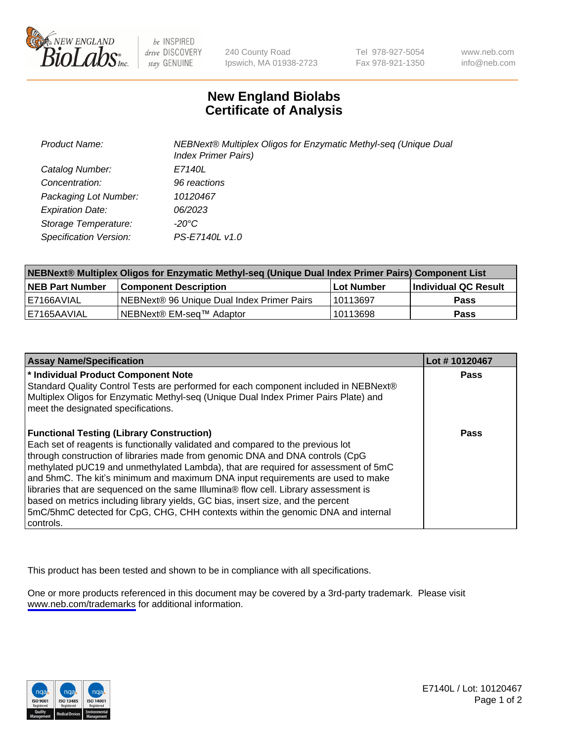

be INSPIRED drive DISCOVERY stay GENUINE

240 County Road Ipswich, MA 01938-2723 Tel 978-927-5054 Fax 978-921-1350

www.neb.com info@neb.com

## **New England Biolabs Certificate of Analysis**

| <b>Product Name:</b>    | NEBNext® Multiplex Oligos for Enzymatic Methyl-seq (Unique Dual<br><b>Index Primer Pairs)</b> |
|-------------------------|-----------------------------------------------------------------------------------------------|
| Catalog Number:         | E7140L                                                                                        |
| Concentration:          | 96 reactions                                                                                  |
| Packaging Lot Number:   | 10120467                                                                                      |
| <b>Expiration Date:</b> | 06/2023                                                                                       |
| Storage Temperature:    | -20°C                                                                                         |
| Specification Version:  | PS-E7140L v1.0                                                                                |

| NEBNext® Multiplex Oligos for Enzymatic Methyl-seq (Unique Dual Index Primer Pairs) Component List |                                             |            |                      |  |
|----------------------------------------------------------------------------------------------------|---------------------------------------------|------------|----------------------|--|
| <b>NEB Part Number</b>                                                                             | <b>Component Description</b>                | Lot Number | Individual QC Result |  |
| I E7166AVIAL                                                                                       | INEBNext® 96 Unique Dual Index Primer Pairs | 10113697   | <b>Pass</b>          |  |
| 'E7165AAVIAL                                                                                       | INEBNext® EM-sea™ Adaptor                   | 10113698   | <b>Pass</b>          |  |

| <b>Assay Name/Specification</b>                                                                                                                                                                                                                                                                                                                                                                                                                                                                                                                                                                                                                                             | Lot #10120467 |
|-----------------------------------------------------------------------------------------------------------------------------------------------------------------------------------------------------------------------------------------------------------------------------------------------------------------------------------------------------------------------------------------------------------------------------------------------------------------------------------------------------------------------------------------------------------------------------------------------------------------------------------------------------------------------------|---------------|
| * Individual Product Component Note<br>Standard Quality Control Tests are performed for each component included in NEBNext®<br>Multiplex Oligos for Enzymatic Methyl-seq (Unique Dual Index Primer Pairs Plate) and<br>meet the designated specifications.                                                                                                                                                                                                                                                                                                                                                                                                                  | <b>Pass</b>   |
| <b>Functional Testing (Library Construction)</b><br>Each set of reagents is functionally validated and compared to the previous lot<br>through construction of libraries made from genomic DNA and DNA controls (CpG<br>methylated pUC19 and unmethylated Lambda), that are required for assessment of 5mC<br>and 5hmC. The kit's minimum and maximum DNA input requirements are used to make<br>libraries that are sequenced on the same Illumina® flow cell. Library assessment is<br>based on metrics including library yields, GC bias, insert size, and the percent<br>5mC/5hmC detected for CpG, CHG, CHH contexts within the genomic DNA and internal<br>l controls. | Pass          |

This product has been tested and shown to be in compliance with all specifications.

One or more products referenced in this document may be covered by a 3rd-party trademark. Please visit <www.neb.com/trademarks>for additional information.